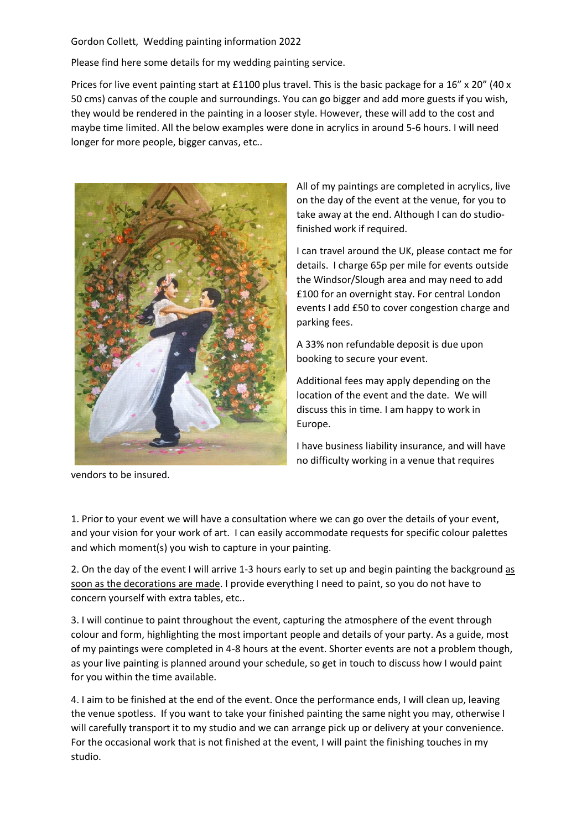## Gordon Collett, Wedding painting information 2022

Please find here some details for my wedding painting service.

Prices for live event painting start at £1100 plus travel. This is the basic package for a 16" x 20" (40 x 50 cms) canvas of the couple and surroundings. You can go bigger and add more guests if you wish, they would be rendered in the painting in a looser style. However, these will add to the cost and maybe time limited. All the below examples were done in acrylics in around 5-6 hours. I will need longer for more people, bigger canvas, etc..



vendors to be insured.

All of my paintings are completed in acrylics, live on the day of the event at the venue, for you to take away at the end. Although I can do studiofinished work if required.

I can travel around the UK, please contact me for details. I charge 65p per mile for events outside the Windsor/Slough area and may need to add £100 for an overnight stay. For central London events I add £50 to cover congestion charge and parking fees.

A 33% non refundable deposit is due upon booking to secure your event.

Additional fees may apply depending on the location of the event and the date. We will discuss this in time. I am happy to work in Europe.

I have business liability insurance, and will have no difficulty working in a venue that requires

1. Prior to your event we will have a consultation where we can go over the details of your event, and your vision for your work of art. I can easily accommodate requests for specific colour palettes and which moment(s) you wish to capture in your painting.

2. On the day of the event I will arrive 1-3 hours early to set up and begin painting the background as soon as the decorations are made. I provide everything I need to paint, so you do not have to concern yourself with extra tables, etc..

3. I will continue to paint throughout the event, capturing the atmosphere of the event through colour and form, highlighting the most important people and details of your party. As a guide, most of my paintings were completed in 4-8 hours at the event. Shorter events are not a problem though, as your live painting is planned around your schedule, so get in touch to discuss how I would paint for you within the time available.

4. I aim to be finished at the end of the event. Once the performance ends, I will clean up, leaving the venue spotless. If you want to take your finished painting the same night you may, otherwise I will carefully transport it to my studio and we can arrange pick up or delivery at your convenience. For the occasional work that is not finished at the event, I will paint the finishing touches in my studio.